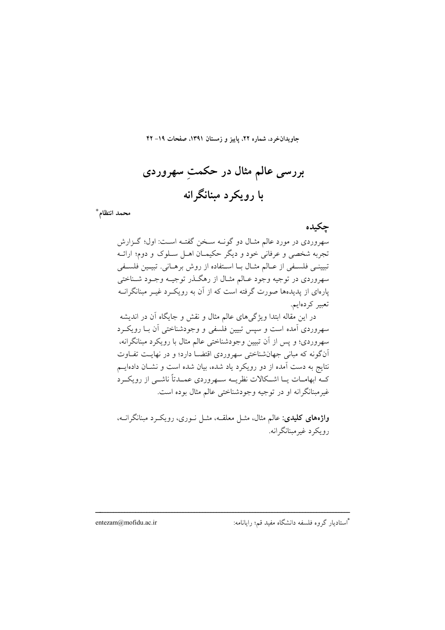جاویدان خرد، شماره ۲۲، پاییز و زمستان ۱۳۹۱، صفحات ۱۹– ۴۲

بررسی عالم مثال در حکمتِ سهروردی با رويکرد مېنانگرانه

محمد انتظام \*

جكبده

سهروردی در مورد عالم مثـال دو گونـه سـخن گفتـه اسـت: اول؛ گـزارش تجربه شخصی و عرفانی خود و دیگر حکیمـان اهـل سـلوک و دوم؛ ارائـه تبييني فلسيفي از عبالم مثبال بيا استفاده از روش برهباني. تبييين فلسيفي سهروردي در توجيه وجود عـالم مثـال از رهگـذر توجيــه وجــود شــناختي یارهای از پدیدهها صورت گرفته است که از آن به رویک د غیـر مبنانگرانــه تعبير كردهايم.

در این مقاله ابتدا ویژگیهای عالم مثال و نقش و جایگاه آن در اندیشه سهروردی آمده است و سپس تبیین فلسفی و وجودشناختی آن بـا رویکـرد سهروردي؛ و پس از آن تبيين وجودشناختي عالم مثال با رويكرد مبنانگرانه، آنگونه که مبانی جهانشناختی سهروردی اقتضـا دارد؛ و در نهایـت تفـاوت نتایج به دست آمده از دو رویکرد یاد شده، بیان شده است و نشـان دادهایــم کــه ابهامــات یــا اشــکالات نظریـــه ســهروردی عمــدتاً ناشــی از رویکــرد غير مبنانگرانه او در توجيه وجودشناختي عالم مثال بوده است.

واژههای کلیدی: عالم مثال، مثـل معلقــه، مثـل نــوری، رویکــرد مبنانگرانــه، رويکرد غيرمينانگرانه.

entezam@mofidu.ac.ir